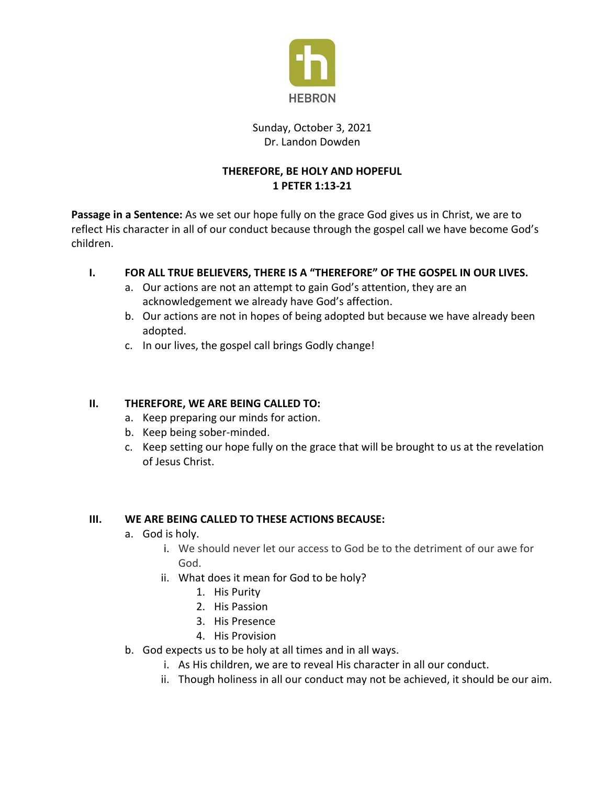

### Sunday, October 3, 2021 Dr. Landon Dowden

# **THEREFORE, BE HOLY AND HOPEFUL 1 PETER 1:13-21**

**Passage in a Sentence:** As we set our hope fully on the grace God gives us in Christ, we are to reflect His character in all of our conduct because through the gospel call we have become God's children.

# **I. FOR ALL TRUE BELIEVERS, THERE IS A "THEREFORE" OF THE GOSPEL IN OUR LIVES.**

- a. Our actions are not an attempt to gain God's attention, they are an acknowledgement we already have God's affection.
- b. Our actions are not in hopes of being adopted but because we have already been adopted.
- c. In our lives, the gospel call brings Godly change!

# **II. THEREFORE, WE ARE BEING CALLED TO:**

- a. Keep preparing our minds for action.
- b. Keep being sober-minded.
- c. Keep setting our hope fully on the grace that will be brought to us at the revelation of Jesus Christ.

#### **III. WE ARE BEING CALLED TO THESE ACTIONS BECAUSE:**

- a. God is holy.
	- i. We should never let our access to God be to the detriment of our awe for God.
	- ii. What does it mean for God to be holy?
		- 1. His Purity
		- 2. His Passion
		- 3. His Presence
		- 4. His Provision
- b. God expects us to be holy at all times and in all ways.
	- i. As His children, we are to reveal His character in all our conduct.
	- ii. Though holiness in all our conduct may not be achieved, it should be our aim.